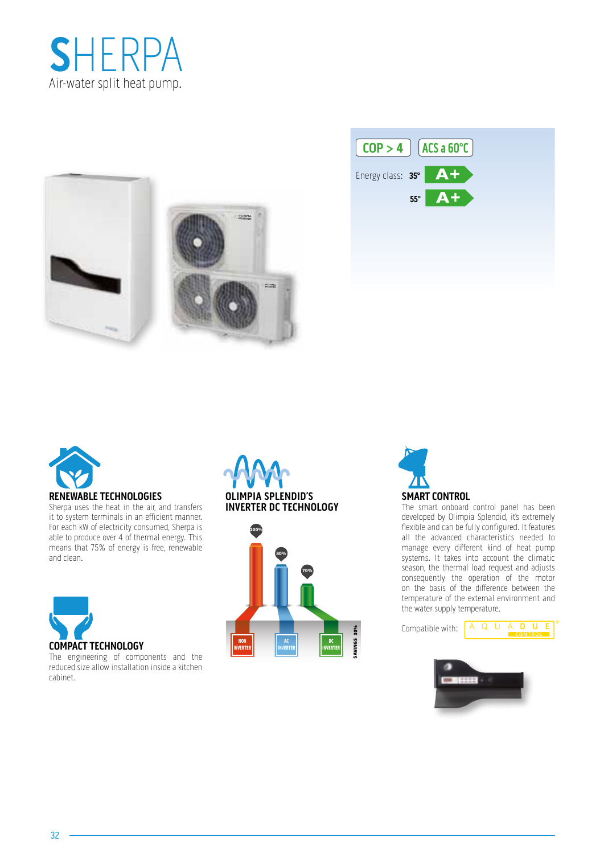







### **RENEWABLE TECHNOLOGIES**

Sherpa uses the heat in the air, and transfers it to system terminals in an efficient manner. For each kW of electricity consumed, Sherpa is able to produce over 4 of thermal energy. This means that 75% of energy is free, renewable and clean.



The engineering of components and the reduced size allow installation inside a kitchen cabinet.

### **OLIMPIA SPLENDID'S INVERTER DC TECHNOLOGY**





The smart onboard control panel has been developed by Olimpia Splendid, it's extremely flexible and can be fully configured. It features all the advanced characteristics needed to manage every different kind of heat pump systems. It takes into account the climatic season, the thermal load request and adjusts consequently the operation of the motor on the basis of the difference between the temperature of the external environment and the water supply temperature.

Compatible with:  $A \tQ \tU \tA \tD$ 



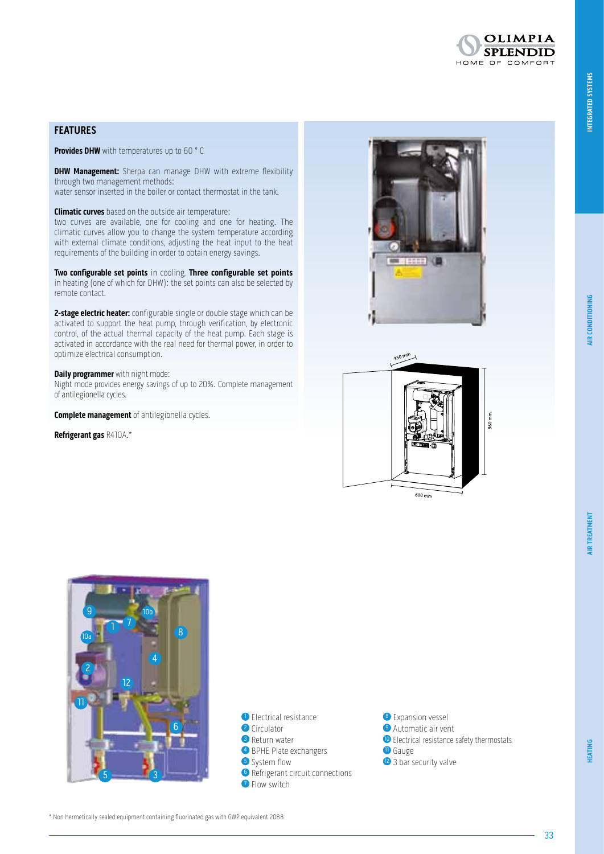**OLIMPIA SPLENDID** HOME OF COMFORT

### **HEATING**

\* Non hermetically sealed equipment containing fluorinated gas with GWP equivalent 2088

### **FEATURES**

**Provides DHW** with temperatures up to 60 °C

**DHW Management:** Sherpa can manage DHW with extreme flexibility through two management methods:

water sensor inserted in the boiler or contact thermostat in the tank.

**Climatic curves** based on the outside air temperature:

two curves are available, one for cooling and one for heating. The climatic curves allow you to change the system temperature according with external climate conditions, adjusting the heat input to the heat requirements of the building in order to obtain energy savings.

**Two configurable set points** in cooling, **Three configurable set points** in heating (one of which for DHW): the set points can also be selected by remote contact.

**2-stage electric heater:** configurable single or double stage which can be activated to support the heat pump, through verification, by electronic control, of the actual thermal capacity of the heat pump. Each stage is activated in accordance with the real need for thermal power, in order to optimize electrical consumption.

#### **Daily programmer** with night mode:

Night mode provides energy savings of up to 20%. Complete management of antilegionella cycles.

**Complete management** of antilegionella cycles.

**Refrigerant gas** R410A.\*



 $600 \text{ mm}$ 



- <sup>1</sup> Electrical resistance <sup>2</sup> Circulator **3** Return water **4** BPHE Plate exchangers **5** System flow
- <sup>6</sup> Refrigerant circuit connections
- **O** Flow switch
- <sup>8</sup> Expansion vessel **9** Automatic air vent **1** Gauge
- <sup>2</sup> 3 bar security valve

<sup>10</sup> Electrical resistance safety thermostats

33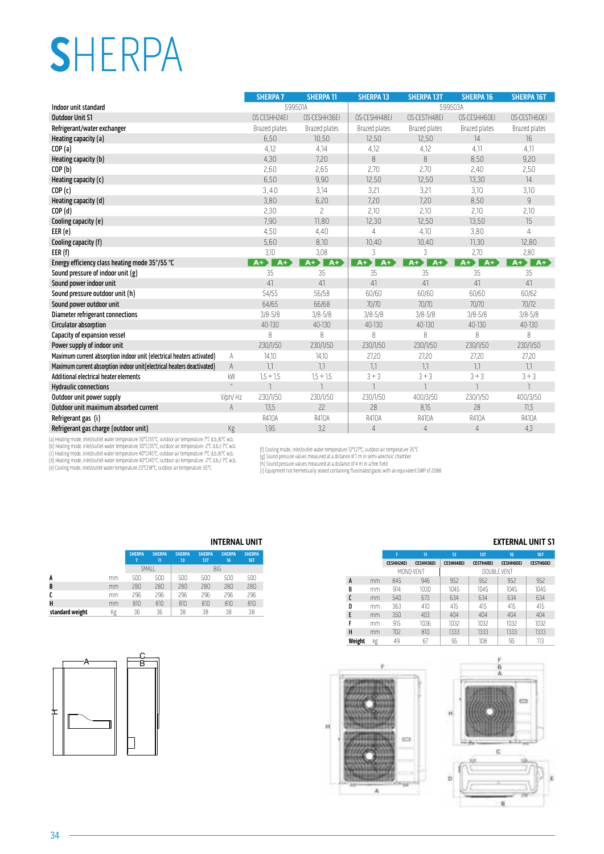# **S**HERPA

|                                                                                                       |              | <b>SHERPA 7</b> | <b>SHERPA 11</b> | <b>SHERPA 13</b> | <b>SHERPA 13T</b>        | <b>SHERPA 16</b> | <b>SHERPA 16T</b> |
|-------------------------------------------------------------------------------------------------------|--------------|-----------------|------------------|------------------|--------------------------|------------------|-------------------|
| Indoor unit standard                                                                                  |              | 599501A         |                  |                  | 599503A                  |                  |                   |
| <b>Outdoor Unit S1</b>                                                                                |              | OS CESHH24EI    | OS-CESHH36EI     | OS-CESHH48EI     | OS-CESTH48EI             | OS-CESHH60EI     | OS-CESTH60EI      |
| Refrigerant/water exchanger                                                                           |              | Brazed plates   | Brazed plates    | Brazed plates    | Brazed plates            | Brazed plates    | Brazed plates     |
| Heating capacity (a)                                                                                  |              | 6,50            | 10,50            | 12,50            | 12,50                    | 14               | 16                |
| COP(a)                                                                                                |              | 4,12            | 4,14             | 4,12             | 4,12                     | 4,11             | 4,11              |
| Heating capacity (b)                                                                                  |              | 4,30            | 7,20             | 8                | 8                        | 8,50             | 9,20              |
| COP(b)                                                                                                |              | 2,60            | 2,65             | 2,70             | 2,70                     | 2,40             | 2,50              |
| Heating capacity (c)                                                                                  |              | 6,50            | 9,90             | 12,50            | 12,50                    | 13,30            | 14                |
| COP(c)                                                                                                |              | 3,40            | 3,14             | 3,21             | 3,21                     | 3,10             | 3,10              |
| Heating capacity (d)                                                                                  |              | 3,80            | 6,20             | 7.20             | 7.20                     | 8,50             | $\overline{g}$    |
| COP(d)                                                                                                |              | 2,30            | $\overline{c}$   | 2,10             | 2,10                     | 2,10             | 2,10              |
| Cooling capacity (e)                                                                                  |              | 7,90            | 11,80            | 12,30            | 12,50                    | 13,50            | 15                |
| EER(e)                                                                                                |              | 4,50            | 4.40             | 4                | 4,10                     | 3,80             | $\overline{4}$    |
| Cooling capacity (f)                                                                                  |              | 5,60            | 8,10             | 10,40            | 10,40                    | 11,30            | 12,80             |
| EER(f)                                                                                                |              | 3,10            | 3,08             | 3                | 3                        | 2,70             | 2,80              |
| Energy efficiency class heating mode 35°/55 °C                                                        |              | $A+$<br>$A+$    | $A+$<br>$A+$     | $A+$<br>$A+$     | $A +$<br>$A+$            | $A+$<br>$A+$     | AF<br>$A+$        |
| Sound pressure of indoor unit (g)                                                                     |              | 35              | 35               | 35               | 35                       | 35               | 35                |
| Sound power indoor unit                                                                               |              | 41              | 41               | 41               | 41                       | 41               | 41                |
| Sound pressure outdoor unit (h)                                                                       |              | 54/55           | 56/58            | 60/60            | 60/60                    | 60/60            | 60/62             |
| Sound power outdoor unit                                                                              |              | 64/65           | 66/68            | 70/70            | 70/70                    | 70/70            | 70/72             |
| <b>Diameter refrigerant connections</b>                                                               |              | $3/8 - 5/8$     | $3/8 - 5/8$      | $3/8 - 5/8$      | $3/8 - 5/8$              | $3/8 - 5/8$      | $3/8 - 5/8$       |
| Circulator absorption                                                                                 |              | 40-130          | 40-130           | 40-130           | 40-130                   | 40-130           | 40-130            |
| Capacity of expansion vessel                                                                          |              | 8               | 8                | 8                | 8                        | 8                | 8                 |
| Power supply of indoor unit                                                                           |              | 230/1/50        | 230/1/50         | 230/1/50         | 230/1/50                 | 230/1/50         | 230/1/50          |
| Maximum current absorption indoor unit (electrical heaters activated)                                 | A            | 14,10           | 14,10            | 27,20            | 27,20                    | 27,20            | 27,20             |
| Maximum current absorption indoor unit (electrical heaters deactivated)                               | A            | 7,7             | 7.7              | 7,7              | 1,1                      | 7,7              | 7,7               |
| Additional electrical heater elements                                                                 | kW           | $1,5 + 1,5$     | $1,5 + 1,5$      | $3 + 3$          | $3 + 3$                  | $3 + 3$          | $3 + 3$           |
| <b>Hydraulic connections</b>                                                                          | $\mathbf{u}$ |                 |                  |                  | $\overline{\phantom{a}}$ | $\overline{1}$   | $\overline{1}$    |
| Outdoor unit power supply                                                                             | V/ph/Hz      | 230/1/50        | 230/1/50         | 230/1/50         | 400/3/50                 | 230/1/50         | 400/3/50          |
| Outdoor unit maximum absorbed current                                                                 | A            | 13,5            | 22               | 28               | 8,15                     | 28               | 71,5              |
| Refrigerant gas (i)                                                                                   |              | R410A           | <b>R410A</b>     | R410A            | R410A                    | R410A            | R410A             |
| Refrigerant gas charge (outdoor unit)                                                                 | Kg           | 1,95            | 3,2              | $\overline{4}$   | $\overline{4}$           | $\overline{4}$   | 4,3               |
| (a) Heating mode, inlet/outlet water temperature 30°C/35°C, outdoor air temperature 7°C d.b./6°C w.b. |              |                 |                  |                  |                          |                  |                   |

(a) Heating mode, inlet/outlet water temperature 30°C/35°C, outdoor air temperature 7°C d.b./6°C w.b.<br>(b) Heating mode, inlet/outlet water temperature 30°C/35°C, outdoor air temperature -2°C d.b./i-°C w.b.<br>(c) Heating mode

(f) Cooling mode, inlet/outlet water temperature 12°C/7°C, outdoor air temperature 35°C<br>(g) Sound pressure values measured at a distance of 1 m in semi-anechoic chamber<br>(h) Sound pressure values measured at a distance of 4

н

### **INTERNAL UNIT EXTERNAL UNIT S1**

|        |    | 7                | π                | 13               | <b>13T</b>       | 16               | <b>16T</b>       |
|--------|----|------------------|------------------|------------------|------------------|------------------|------------------|
|        |    | <b>CESHH24EI</b> | <b>CESHH36EI</b> | <b>CESHH48EI</b> | <b>CESTH48EI</b> | <b>CESHH60EI</b> | <b>CESTH60EI</b> |
|        |    |                  | MONO-VENT        |                  |                  | DOUBLE VENT      |                  |
| A      | mm | 845              | 946              | 952              | 952              | 952              | 952              |
| B      | mm | 914              | 1030             | 1045             | 1045             | 1045             | 1045             |
|        | mm | 540              | 673              | 634              | 634              | 634              | 634              |
| D      | mm | 363              | 410              | 415              | 415              | 415              | 415              |
| E      | mm | 350              | 403              | 404              | 404              | 404              | 404              |
| F      | mm | 915              | 1036             | 1032             | 1032             | 1032             | 1032             |
| н      | mm | 702              | 810              | 1333             | 1333             | 1333             | 1333             |
| Weight | kg | 49               | 67               | 95               | 108              | 95               | 113              |



|                 |    |               |                    |                     |                             | <u>IN LENNAL VIII</u> |                             |
|-----------------|----|---------------|--------------------|---------------------|-----------------------------|-----------------------|-----------------------------|
|                 |    | <b>SHERPA</b> | <b>SHERPA</b><br>π | <b>SHERPA</b><br>13 | <b>SHERPA</b><br><b>13T</b> | <b>SHERPA</b><br>16   | <b>SHERPA</b><br><b>16T</b> |
|                 |    | SMALL         |                    |                     |                             | <b>BIG</b>            |                             |
| A               | mm | 500           | 500                | 500                 | 500                         | 500                   | 500                         |
| B               | mm | 280           | 280                | 280                 | 280                         | 280                   | 280                         |
| C               | mm | 296           | 296                | 296                 | 296                         | 296                   | 296                         |
| H               | mm | 810           | 810                | 810                 | 810                         | 810                   | 810                         |
| standard weight | Κg | 36            | 36                 | 38                  | 38                          | 38                    | 38                          |

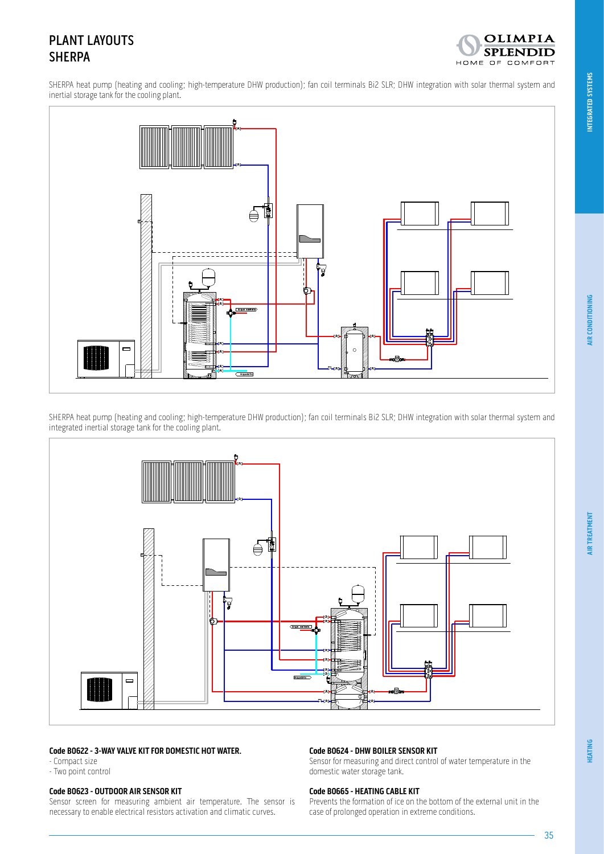### PLANT LAYOUTS SHERPA



SHERPA heat pump (heating and cooling; high-temperature DHW production); fan coil terminals Bi2 SLR; DHW integration with solar thermal system and inertial storage tank for the cooling plant.



SHERPA heat pump (heating and cooling; high-temperature DHW production); fan coil terminals Bi2 SLR; DHW integration with solar thermal system and integrated inertial storage tank for the cooling plant.



### **Code B0622 - 3-WAY VALVE KIT FOR DOMESTIC HOT WATER.**

- Compact size

### - Two point control

### **Code B0623 - OUTDOOR AIR SENSOR KIT**

Sensor screen for measuring ambient air temperature. The sensor is necessary to enable electrical resistors activation and climatic curves.

### **Code B0624 - DHW BOILER SENSOR KIT**

Sensor for measuring and direct control of water temperature in the domestic water storage tank.

#### **Code B0665 - HEATING CABLE KIT**

Prevents the formation of ice on the bottom of the external unit in the case of prolonged operation in extreme conditions.

35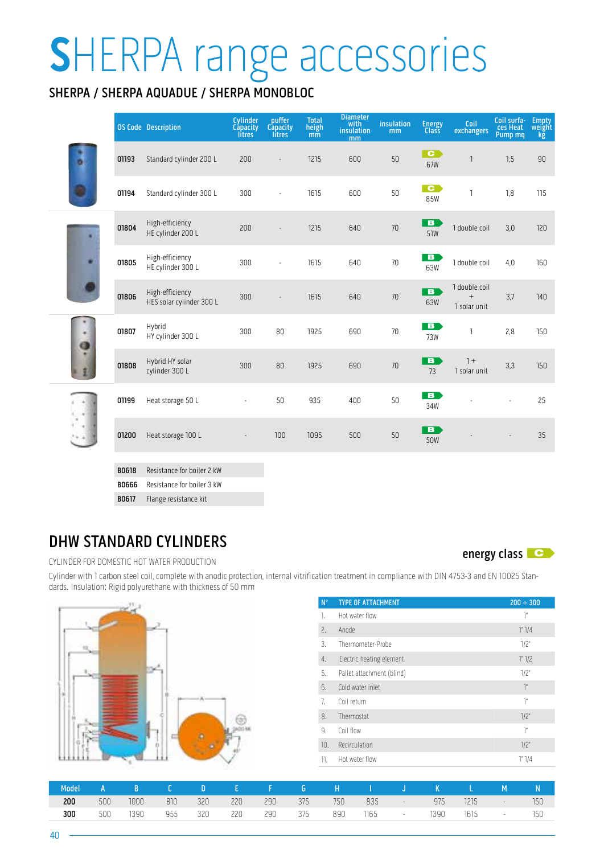# **S**HERPA range accessories

### SHERPA / SHERPA AQUADUE / SHERPA MONOBLOC

|                    |       | <b>OS Code Description</b>                  | Cylinder<br><b>Capacity</b><br><b>litres</b> | puffer<br>Capacity<br>litres <sup>®</sup> | <b>Total</b><br>$\begin{array}{c} \mathsf{height} \\ \mathsf{mm} \end{array}$ | <b>Diameter</b><br>with<br>insulation<br>mm | insulation<br>mm | <b>Energy</b><br><b>Class</b>   | Coil<br>exchangers                                 | Coil surfa-<br>ces Heat<br>Pump mq | Empty<br>weight<br>kg |
|--------------------|-------|---------------------------------------------|----------------------------------------------|-------------------------------------------|-------------------------------------------------------------------------------|---------------------------------------------|------------------|---------------------------------|----------------------------------------------------|------------------------------------|-----------------------|
|                    | 01193 | Standard cylinder 200 L                     | 200                                          | $\overline{a}$                            | 1215                                                                          | 600                                         | 50               | $\overline{\phantom{a}}$<br>67W | ٦                                                  | 1,5                                | 90                    |
|                    | 01194 | Standard cylinder 300 L                     | 300                                          | ä,                                        | 1615                                                                          | 600                                         | 50               | $\mathbf{C}$<br>85W             | ı                                                  | 1,8                                | 115                   |
|                    | 01804 | High-efficiency<br>HE cylinder 200 L        | 200                                          |                                           | 1215                                                                          | 640                                         | $70\,$           | $\overline{\mathbf{B}}$<br>51W  | 1 double coil                                      | 3,0                                | 120                   |
|                    | 01805 | High-efficiency<br>HE cylinder 300 L        | 300                                          | ä,                                        | 1615                                                                          | 640                                         | 70               | $\overline{B}$<br>63W           | 1 double coil                                      | 4,0                                | 160                   |
|                    | 01806 | High-efficiency<br>HES solar cylinder 300 L | 300                                          | $\overline{a}$                            | 1615                                                                          | 640                                         | 70               | <b>B</b><br>63W                 | 1 double coil<br>$\qquad \qquad +$<br>1 solar unit | 3,7                                | 140                   |
| ٠<br>à             | 01807 | Hybrid<br>HY cylinder 300 L                 | 300                                          | 80                                        | 1925                                                                          | 690                                         | 70               | $\overline{B}$<br><b>73W</b>    | ı                                                  | 2,8                                | 150                   |
|                    | 01808 | Hybrid HY solar<br>cylinder 300 L           | 300                                          | 80                                        | 1925                                                                          | 690                                         | 70               | $\overline{\mathbf{B}}$<br>73   | $1 +$<br>1 solar unit                              | 3,3                                | 150                   |
| ٠                  | 01199 | Heat storage 50 L                           | ×,                                           | 50                                        | 935                                                                           | 400                                         | 50               | B<br>34W                        |                                                    |                                    | 25                    |
| $\epsilon_{\rm i}$ | 01200 | Heat storage 100 L                          |                                              | 100                                       | 1095                                                                          | 500                                         | 50               | B<br><b>50W</b>                 |                                                    |                                    | 35                    |
|                    | B0618 | Resistance for boiler 2 kW                  |                                              |                                           |                                                                               |                                             |                  |                                 |                                                    |                                    |                       |

B0666 Resistance for boiler 3 kW

B0617 Flange resistance kit

### DHW STANDARD CYLINDERS

CYLINDER FOR DOMESTIC HOT WATER PRODUCTION

energy class **C** 

Cylinder with 1 carbon steel coil, complete with anodic protection, internal vitrification treatment in compliance with DIN 4753-3 and EN 10025 Standards. Insulation: Rigid polyurethane with thickness of 50 mm



| $N^{\circ}$   | <b>TYPE OF ATTACHMENT</b> | $200 \div 300$  |
|---------------|---------------------------|-----------------|
| 1.            | Hot water flow            | ľ"              |
| $\tilde{c}$ . | Anode                     | 1" 1/4          |
| 3.            | Thermometer-Probe         | 7/2"            |
| 4.            | Electric heating element  | 1" 1/2          |
| 5.            | Pallet attachment (blind) | 1/2"            |
| 6.            | Cold water inlet          | $\mathcal{I}''$ |
| 7.            | Coil return               | ľ"              |
| 8.            | Thermostat                | 7/2"            |
| 9.            | Coil flow                 | ľ,              |
| 10.           | Recirculation             | 7/2"            |
| 11.           | Hot water flow            | 1" 1/4          |

| Model |     | ABC DEF GHIJKLM |  |  |  |  |                                                 |  | - N |
|-------|-----|-----------------|--|--|--|--|-------------------------------------------------|--|-----|
| 200   | 500 |                 |  |  |  |  | 1000 810 320 220 290 375 750 835 - 975 1215 - 1 |  | 150 |
| 300   | 500 |                 |  |  |  |  | 1390 955 320 220 290 375 890 1165 - 1390 1615 - |  | 150 |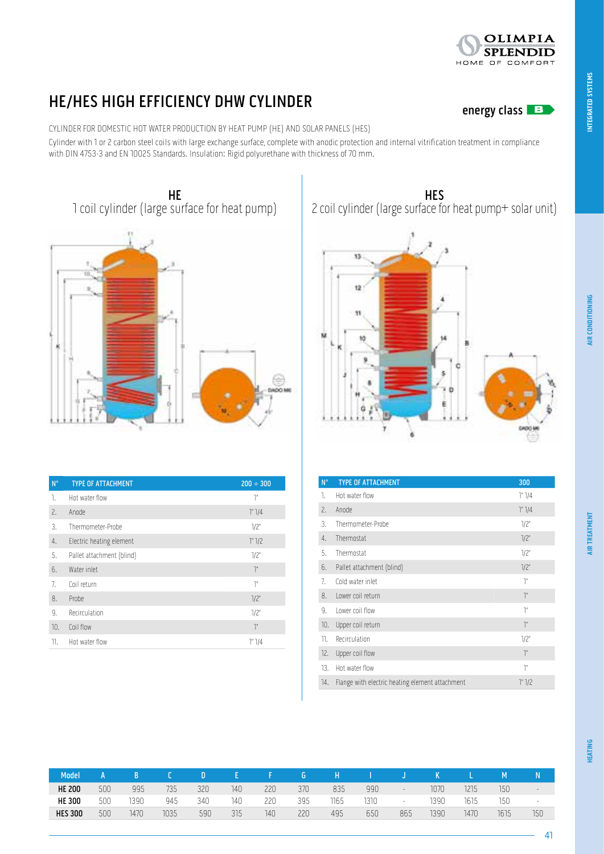### HE/HES HIGH EFFICIENCY DHW CYLINDER<br>
energy class

CYLINDER FOR DOMESTIC HOT WATER PRODUCTION BY HEAT PUMP (HE) AND SOLAR PANELS (HES)

Cylinder with 1 or 2 carbon steel coils with large exchange surface, complete with anodic protection and internal vitrification treatment in compliance with DIN 4753-3 and EN 10025 Standards. Insulation: Rigid polyurethane with thickness of 70 mm.



| $N^{\circ}$ | <b>TYPE OF ATTACHMENT</b> | $200 \div 300$  |
|-------------|---------------------------|-----------------|
| 1.          | Hot water flow            | ľ,              |
| $\tilde{c}$ | Anode                     | 1" 1/4          |
| 3.          | Thermometer-Probe         | 1/2"            |
| 4.          | Electric heating element  | 1" 1/2          |
| 5.          | Pallet attachment (blind) | 7/2"            |
| 6.          | Water inlet               | $\mathcal{I}''$ |
| 7.          | Coil return               | ľ,              |
| 8.          | Probe                     | 7/2"            |
| 9.          | Recirculation             | 7/2"            |
| 10.         | Coil flow                 | $\mathcal{I}''$ |
| 11.         | Hot water flow            | 1" 1/4          |

**HES** 2 coil cylinder (large surface for heat pump+ solar unit)

# $13$ 12

| $N^{\circ}$ | <b>TYPE OF ATTACHMENT</b>                       | 300             |
|-------------|-------------------------------------------------|-----------------|
|             |                                                 |                 |
| 1.          | Hot water flow                                  | 1" 1/4          |
| 2.          | Anode                                           | 1" 1/4          |
| 3.          | Thermometer-Probe                               | 1/2"            |
| 4.          | Thermostat                                      | 1/2"            |
| 5.          | Thermostat                                      | 1/2"            |
| 6.          | Pallet attachment (blind)                       | 7/2"            |
| 7.          | Cold water inlet                                | ľ               |
| 8.          | Lower coil return                               | $\mathcal{I}''$ |
| 9.          | Lower coil flow                                 | ľ"              |
| 10.         | Upper coil return                               | $\mathcal{I}''$ |
| 11.         | Recirculation                                   | 1/2"            |
| 12.         | Upper coil flow                                 | $\mathcal{I}''$ |
| 13.         | Hot water flow                                  | ľ"              |
| 14.         | Flange with electric heating element attachment | 1" 1/2          |

| Model          |     |      |      |     |     |     | G   | н    |      |                          |      |      |      |                          |
|----------------|-----|------|------|-----|-----|-----|-----|------|------|--------------------------|------|------|------|--------------------------|
| <b>HE 200</b>  | 500 | 995  | 735  | 320 | 140 | 220 | 370 | 835  | 990  | $\overline{\phantom{a}}$ | 1070 | 1215 | 150  | $\overline{\phantom{a}}$ |
| <b>HE 300</b>  | 500 | 1390 | 945  | 340 | 140 | 220 | 395 | 1165 | 1310 | $\overline{\phantom{0}}$ | 1390 | 1615 | 150  | $\overline{\phantom{a}}$ |
| <b>HES 300</b> | 500 | 1470 | 1035 | 590 | 315 | 140 | 220 | 495  | 650  | 865                      | 1390 | 147C | 1615 | 150                      |

41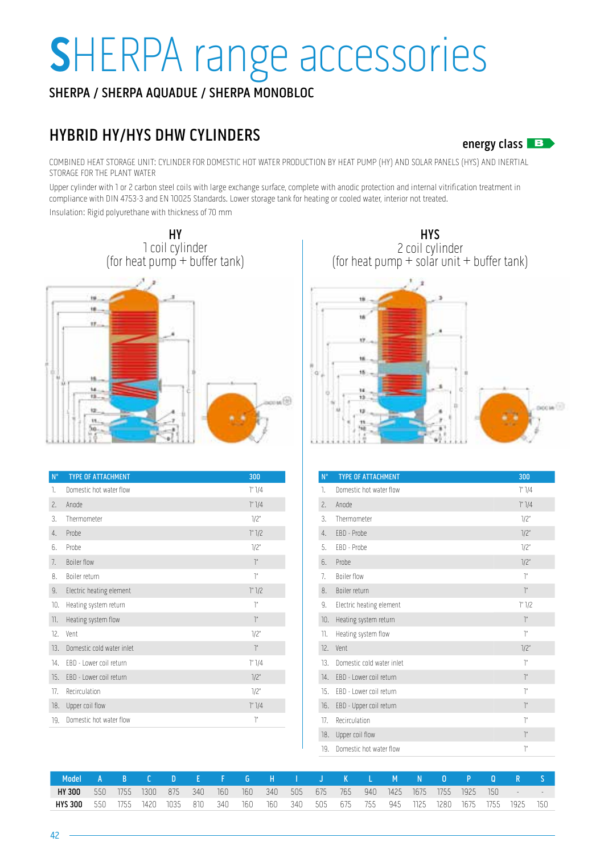## **S**HERPA range accessories

### SHERPA / SHERPA AQUADUE / SHERPA MONOBLOC

### HYBRID HY/HYS DHW CYLINDERS

energy class  $\mathbf{B}$ 

COMBINED HEAT STORAGE UNIT: CYLINDER FOR DOMESTIC HOT WATER PRODUCTION BY HEAT PUMP (HY) AND SOLAR PANELS (HYS) AND INERTIAL STORAGE FOR THE PLANT WATER

Upper cylinder with 1 or 2 carbon steel coils with large exchange surface, complete with anodic protection and internal vitrification treatment in compliance with DIN 4753-3 and EN 10025 Standards. Lower storage tank for heating or cooled water, interior not treated.

Insulation: Rigid polyurethane with thickness of 70 mm



| $N^{\circ}$ | <b>TYPE OF ATTACHMENT</b> | 300             |
|-------------|---------------------------|-----------------|
| 1.          | Domestic hot water flow   | 1" 1/4          |
| $\tilde{c}$ | Anode                     | 1" 1/4          |
| 3.          | Thermometer               | 7/2"            |
| 4.          | Probe                     | 1" 1/2          |
| 6.          | Probe                     | 7/2"            |
| 7.          | <b>Boiler flow</b>        | $\tilde{a}$     |
| 8.          | Boiler return             | $\tilde{a}$     |
| 9.          | Electric heating element  | 1" 1/2          |
| 10.         | Heating system return     | $\tilde{a}$     |
| 11.         | Heating system flow       | $\mathcal{I}''$ |
| 12.         | Vent                      | 7/2"            |
| 13.         | Domestic cold water inlet | $\mathcal{I}''$ |
| 14.         | FBD - Lower coil return   | 1" 1/4          |
| 15.         | FBD - Lower coil return   | 7/2"            |
| 17.         | Recirculation             | 7/2"            |
| 18.         | Upper coil flow           | 1" 1/4          |
| 19.         | Domestic hot water flow   | $\tilde{a}$     |
|             |                           |                 |

**HYS** 2 coil cylinder (for heat pump  $+$  solar unit  $+$  buffer tank)



| $N^{\circ}$ | <b>TYPE OF ATTACHMENT</b> | 300            |
|-------------|---------------------------|----------------|
| 1.          | Domestic hot water flow   | 1" 1/4         |
| 2.          | Anode                     | $1''$ $1/4$    |
| 3.          | Thermometer               | 1/2"           |
| 4.          | EBD - Probe               | 1/2"           |
| 5.          | EBD - Probe               | 1/2"           |
| 6.          | Probe                     | 1/2"           |
| 7.          | <b>Boiler flow</b>        | $\tilde{a}$    |
| 8.          | Boiler return             | $\tilde{a}$    |
| 9.          | Electric heating element  | 1" 1/2         |
| 10.         | Heating system return     | $\tilde{a}$    |
| 11.         | Heating system flow       | $\tilde{a}$    |
| 12.         | Vent                      | 1/2"           |
| 13.         | Domestic cold water inlet | $\tilde{a}$    |
| 14.         | EBD - Lower coil return   | $\rrbracket^n$ |
| 15.         | FBD - Lower coil return   | $\tilde{a}$    |
| 16.         | EBD - Upper coil return   | $\tilde{a}$    |
| 17.         | Recirculation             | $\tilde{a}$    |
| 18.         | Upper coil flow           | $\tilde{a}$    |
| 19.         | Domestic hot water flow   | $\tilde{a}$    |

| Model         |     |       |       | -D-           |       |     |     |             |        | IEFGHIJKLMN                                | v o v |       |       |          |  |
|---------------|-----|-------|-------|---------------|-------|-----|-----|-------------|--------|--------------------------------------------|-------|-------|-------|----------|--|
| <b>HY 300</b> | 550 | 1755. | 1300. | 875           | - 340 | 160 | 160 | 340 505 675 | $-765$ | 940 1425 1675 1755                         |       | -1925 | -150- | $\sim$   |  |
| HYS 300       | 550 | 1755  |       | 1420 1035 810 |       | 340 |     |             |        | 160 160 340 505 675 755 945 1125 1280 1675 |       |       | 1755  | 1925 150 |  |